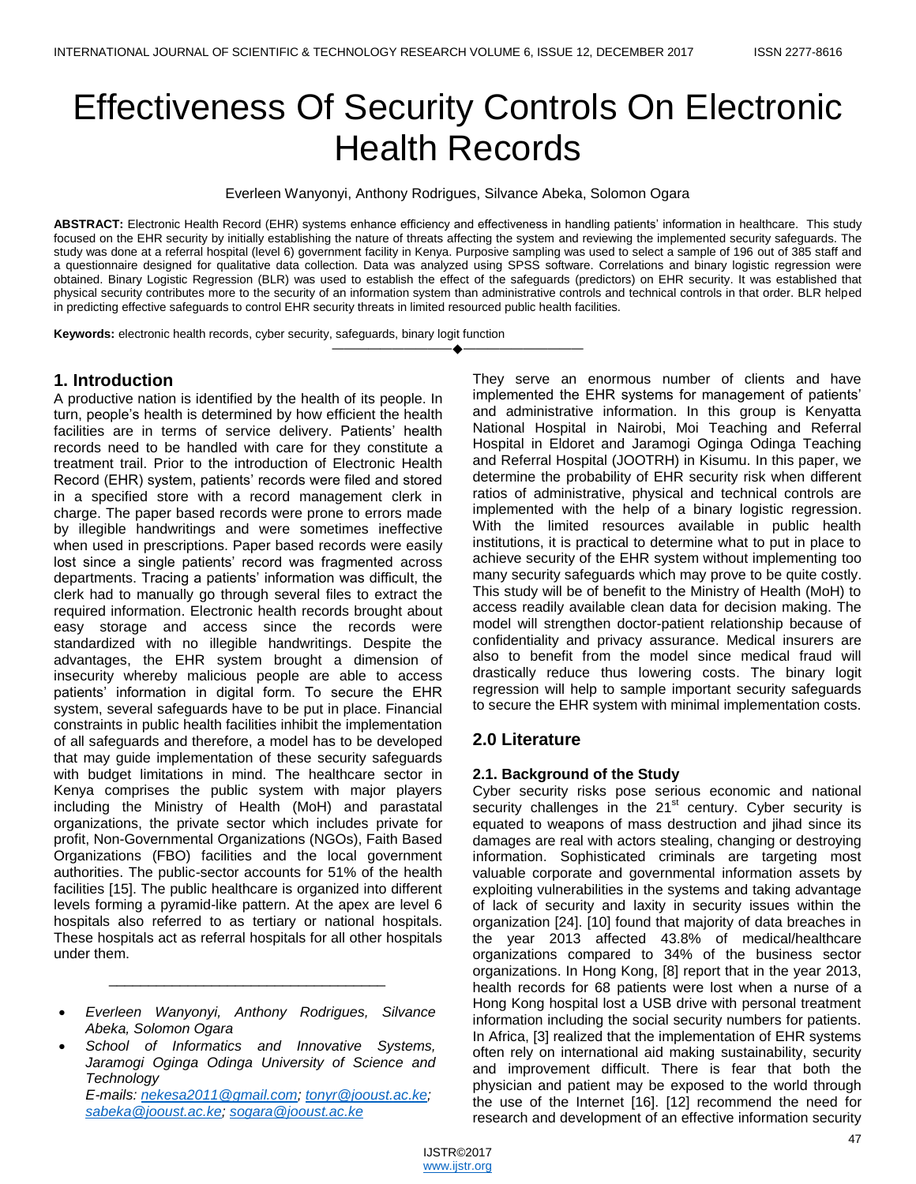# Effectiveness Of Security Controls On Electronic Health Records

Everleen Wanyonyi, Anthony Rodrigues, Silvance Abeka, Solomon Ogara

**ABSTRACT:** Electronic Health Record (EHR) systems enhance efficiency and effectiveness in handling patients' information in healthcare. This study focused on the EHR security by initially establishing the nature of threats affecting the system and reviewing the implemented security safeguards. The study was done at a referral hospital (level 6) government facility in Kenya. Purposive sampling was used to select a sample of 196 out of 385 staff and a questionnaire designed for qualitative data collection. Data was analyzed using SPSS software. Correlations and binary logistic regression were obtained. Binary Logistic Regression (BLR) was used to establish the effect of the safeguards (predictors) on EHR security. It was established that physical security contributes more to the security of an information system than administrative controls and technical controls in that order. BLR helped in predicting effective safeguards to control EHR security threats in limited resourced public health facilities.

————————————————————

**Keywords:** electronic health records, cyber security, safeguards, binary logit function

# **1. Introduction**

A productive nation is identified by the health of its people. In turn, people's health is determined by how efficient the health facilities are in terms of service delivery. Patients' health records need to be handled with care for they constitute a treatment trail. Prior to the introduction of Electronic Health Record (EHR) system, patients' records were filed and stored in a specified store with a record management clerk in charge. The paper based records were prone to errors made by illegible handwritings and were sometimes ineffective when used in prescriptions. Paper based records were easily lost since a single patients' record was fragmented across departments. Tracing a patients' information was difficult, the clerk had to manually go through several files to extract the required information. Electronic health records brought about easy storage and access since the records were standardized with no illegible handwritings. Despite the advantages, the EHR system brought a dimension of insecurity whereby malicious people are able to access patients' information in digital form. To secure the EHR system, several safeguards have to be put in place. Financial constraints in public health facilities inhibit the implementation of all safeguards and therefore, a model has to be developed that may guide implementation of these security safeguards with budget limitations in mind. The healthcare sector in Kenya comprises the public system with major players including the Ministry of Health (MoH) and parastatal organizations, the private sector which includes private for profit, Non-Governmental Organizations (NGOs), Faith Based Organizations (FBO) facilities and the local government authorities. The public-sector accounts for 51% of the health facilities [15]. The public healthcare is organized into different levels forming a pyramid-like pattern. At the apex are level 6 hospitals also referred to as tertiary or national hospitals. These hospitals act as referral hospitals for all other hospitals under them.

\_\_\_\_\_\_\_\_\_\_\_\_\_\_\_\_\_\_\_\_\_\_\_\_\_\_\_\_\_\_\_\_\_\_\_

*E-mails: nekesa2011@gmail.com; tonyr@jooust.ac.ke; sabeka@jooust.ac.ke; sogara@jooust.ac.ke*

They serve an enormous number of clients and have implemented the EHR systems for management of patients' and administrative information. In this group is Kenyatta National Hospital in Nairobi, Moi Teaching and Referral Hospital in Eldoret and Jaramogi Oginga Odinga Teaching and Referral Hospital (JOOTRH) in Kisumu. In this paper, we determine the probability of EHR security risk when different ratios of administrative, physical and technical controls are implemented with the help of a binary logistic regression. With the limited resources available in public health institutions, it is practical to determine what to put in place to achieve security of the EHR system without implementing too many security safeguards which may prove to be quite costly. This study will be of benefit to the Ministry of Health (MoH) to access readily available clean data for decision making. The model will strengthen doctor-patient relationship because of confidentiality and privacy assurance. Medical insurers are also to benefit from the model since medical fraud will drastically reduce thus lowering costs. The binary logit regression will help to sample important security safeguards to secure the EHR system with minimal implementation costs.

# **2.0 Literature**

## **2.1. Background of the Study**

Cyber security risks pose serious economic and national security challenges in the  $21<sup>st</sup>$  century. Cyber security is equated to weapons of mass destruction and jihad since its damages are real with actors stealing, changing or destroying information. Sophisticated criminals are targeting most valuable corporate and governmental information assets by exploiting vulnerabilities in the systems and taking advantage of lack of security and laxity in security issues within the organization [24]. [10] found that majority of data breaches in the year 2013 affected 43.8% of medical/healthcare organizations compared to 34% of the business sector organizations. In Hong Kong, [8] report that in the year 2013, health records for 68 patients were lost when a nurse of a Hong Kong hospital lost a USB drive with personal treatment information including the social security numbers for patients. In Africa, [3] realized that the implementation of EHR systems often rely on international aid making sustainability, security and improvement difficult. There is fear that both the physician and patient may be exposed to the world through the use of the Internet [16]. [12] recommend the need for research and development of an effective information security

*Everleen Wanyonyi, Anthony Rodrigues, Silvance Abeka, Solomon Ogara*

*School of Informatics and Innovative Systems, Jaramogi Oginga Odinga University of Science and Technology*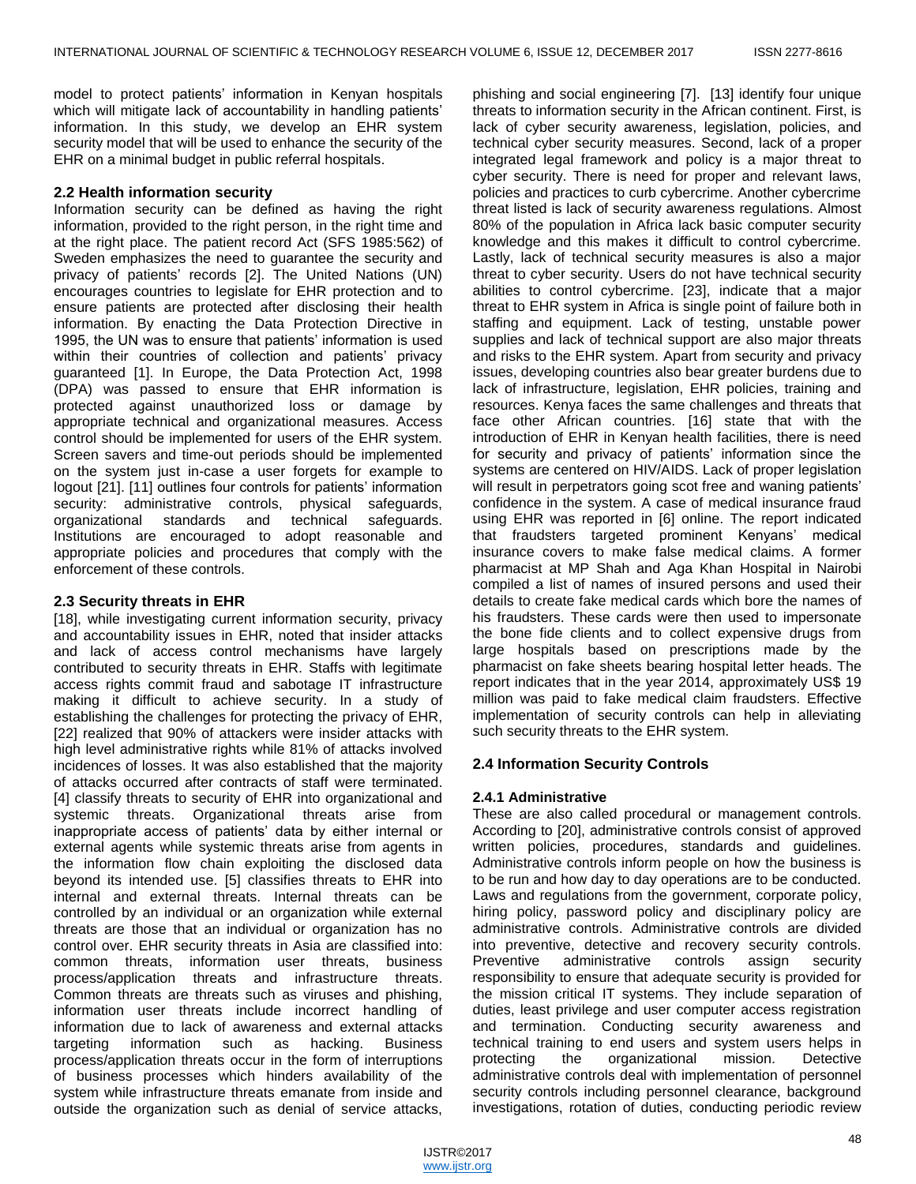model to protect patients' information in Kenyan hospitals which will mitigate lack of accountability in handling patients' information. In this study, we develop an EHR system security model that will be used to enhance the security of the EHR on a minimal budget in public referral hospitals.

## **2.2 Health information security**

Information security can be defined as having the right information, provided to the right person, in the right time and at the right place. The patient record Act (SFS 1985:562) of Sweden emphasizes the need to guarantee the security and privacy of patients' records [2]. The United Nations (UN) encourages countries to legislate for EHR protection and to ensure patients are protected after disclosing their health information. By enacting the Data Protection Directive in 1995, the UN was to ensure that patients' information is used within their countries of collection and patients' privacy guaranteed [1]. In Europe, the Data Protection Act, 1998 (DPA) was passed to ensure that EHR information is protected against unauthorized loss or damage by appropriate technical and organizational measures. Access control should be implemented for users of the EHR system. Screen savers and time-out periods should be implemented on the system just in-case a user forgets for example to logout [21]. [11] outlines four controls for patients' information security: administrative controls, physical safeguards, organizational standards and technical safeguards. Institutions are encouraged to adopt reasonable and appropriate policies and procedures that comply with the enforcement of these controls.

## **2.3 Security threats in EHR**

[18], while investigating current information security, privacy and accountability issues in EHR, noted that insider attacks and lack of access control mechanisms have largely contributed to security threats in EHR. Staffs with legitimate access rights commit fraud and sabotage IT infrastructure making it difficult to achieve security. In a study of establishing the challenges for protecting the privacy of EHR, [22] realized that 90% of attackers were insider attacks with high level administrative rights while 81% of attacks involved incidences of losses. It was also established that the majority of attacks occurred after contracts of staff were terminated. [4] classify threats to security of EHR into organizational and systemic threats. Organizational threats arise from inappropriate access of patients' data by either internal or external agents while systemic threats arise from agents in the information flow chain exploiting the disclosed data beyond its intended use. [5] classifies threats to EHR into internal and external threats. Internal threats can be controlled by an individual or an organization while external threats are those that an individual or organization has no control over. EHR security threats in Asia are classified into: common threats, information user threats, business process/application threats and infrastructure threats. Common threats are threats such as viruses and phishing, information user threats include incorrect handling of information due to lack of awareness and external attacks targeting information such as hacking. Business process/application threats occur in the form of interruptions of business processes which hinders availability of the system while infrastructure threats emanate from inside and outside the organization such as denial of service attacks,

phishing and social engineering [7]. [13] identify four unique threats to information security in the African continent. First, is lack of cyber security awareness, legislation, policies, and technical cyber security measures. Second, lack of a proper integrated legal framework and policy is a major threat to cyber security. There is need for proper and relevant laws, policies and practices to curb cybercrime. Another cybercrime threat listed is lack of security awareness regulations. Almost 80% of the population in Africa lack basic computer security knowledge and this makes it difficult to control cybercrime. Lastly, lack of technical security measures is also a major threat to cyber security. Users do not have technical security abilities to control cybercrime. [23], indicate that a major threat to EHR system in Africa is single point of failure both in staffing and equipment. Lack of testing, unstable power supplies and lack of technical support are also major threats and risks to the EHR system. Apart from security and privacy issues, developing countries also bear greater burdens due to lack of infrastructure, legislation, EHR policies, training and resources. Kenya faces the same challenges and threats that face other African countries. [16] state that with the introduction of EHR in Kenyan health facilities, there is need for security and privacy of patients' information since the systems are centered on HIV/AIDS. Lack of proper legislation will result in perpetrators going scot free and waning patients' confidence in the system. A case of medical insurance fraud using EHR was reported in [6] online. The report indicated that fraudsters targeted prominent Kenyans' medical insurance covers to make false medical claims. A former pharmacist at MP Shah and Aga Khan Hospital in Nairobi compiled a list of names of insured persons and used their details to create fake medical cards which bore the names of his fraudsters. These cards were then used to impersonate the bone fide clients and to collect expensive drugs from large hospitals based on prescriptions made by the pharmacist on fake sheets bearing hospital letter heads. The report indicates that in the year 2014, approximately US\$ 19 million was paid to fake medical claim fraudsters. Effective implementation of security controls can help in alleviating such security threats to the EHR system.

## **2.4 Information Security Controls**

## **2.4.1 Administrative**

These are also called procedural or management controls. According to [20], administrative controls consist of approved written policies, procedures, standards and guidelines. Administrative controls inform people on how the business is to be run and how day to day operations are to be conducted. Laws and regulations from the government, corporate policy, hiring policy, password policy and disciplinary policy are administrative controls. Administrative controls are divided into preventive, detective and recovery security controls. Preventive administrative controls assign security responsibility to ensure that adequate security is provided for the mission critical IT systems. They include separation of duties, least privilege and user computer access registration and termination. Conducting security awareness and technical training to end users and system users helps in protecting the organizational mission. Detective administrative controls deal with implementation of personnel security controls including personnel clearance, background investigations, rotation of duties, conducting periodic review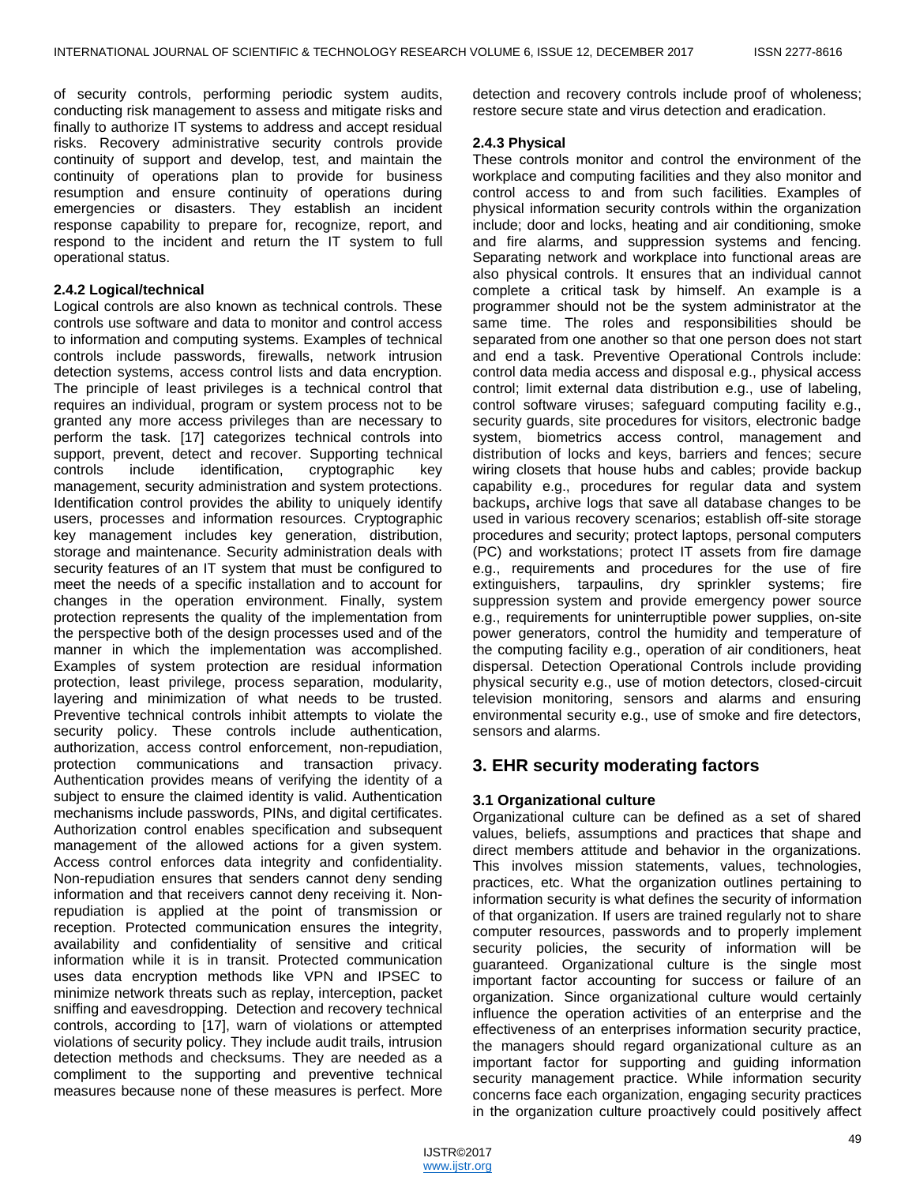of security controls, performing periodic system audits, conducting risk management to assess and mitigate risks and finally to authorize IT systems to address and accept residual risks. Recovery administrative security controls provide continuity of support and develop, test, and maintain the continuity of operations plan to provide for business resumption and ensure continuity of operations during emergencies or disasters. They establish an incident response capability to prepare for, recognize, report, and respond to the incident and return the IT system to full operational status.

## **2.4.2 Logical/technical**

Logical controls are also known as technical controls. These controls use software and data to monitor and control access to information and computing systems. Examples of technical controls include passwords, firewalls, network intrusion detection systems, access control lists and data encryption. The principle of least privileges is a technical control that requires an individual, program or system process not to be granted any more access privileges than are necessary to perform the task. [17] categorizes technical controls into support, prevent, detect and recover. Supporting technical controls include identification, cryptographic key management, security administration and system protections. Identification control provides the ability to uniquely identify users, processes and information resources. Cryptographic key management includes key generation, distribution, storage and maintenance. Security administration deals with security features of an IT system that must be configured to meet the needs of a specific installation and to account for changes in the operation environment. Finally, system protection represents the quality of the implementation from the perspective both of the design processes used and of the manner in which the implementation was accomplished. Examples of system protection are residual information protection, least privilege, process separation, modularity, layering and minimization of what needs to be trusted. Preventive technical controls inhibit attempts to violate the security policy. These controls include authentication, authorization, access control enforcement, non-repudiation, protection communications and transaction privacy. Authentication provides means of verifying the identity of a subject to ensure the claimed identity is valid. Authentication mechanisms include passwords, PINs, and digital certificates. Authorization control enables specification and subsequent management of the allowed actions for a given system. Access control enforces data integrity and confidentiality. Non-repudiation ensures that senders cannot deny sending information and that receivers cannot deny receiving it. Nonrepudiation is applied at the point of transmission or reception. Protected communication ensures the integrity, availability and confidentiality of sensitive and critical information while it is in transit. Protected communication uses data encryption methods like VPN and IPSEC to minimize network threats such as replay, interception, packet sniffing and eavesdropping. Detection and recovery technical controls, according to [17], warn of violations or attempted violations of security policy. They include audit trails, intrusion detection methods and checksums. They are needed as a compliment to the supporting and preventive technical measures because none of these measures is perfect. More

detection and recovery controls include proof of wholeness; restore secure state and virus detection and eradication.

## **2.4.3 Physical**

These controls monitor and control the environment of the workplace and computing facilities and they also monitor and control access to and from such facilities. Examples of physical information security controls within the organization include; door and locks, heating and air conditioning, smoke and fire alarms, and suppression systems and fencing. Separating network and workplace into functional areas are also physical controls. It ensures that an individual cannot complete a critical task by himself. An example is a programmer should not be the system administrator at the same time. The roles and responsibilities should be separated from one another so that one person does not start and end a task. Preventive Operational Controls include: control data media access and disposal e.g., physical access control; limit external data distribution e.g., use of labeling, control software viruses; safeguard computing facility e.g., security guards, site procedures for visitors, electronic badge system, biometrics access control, management and distribution of locks and keys, barriers and fences; secure wiring closets that house hubs and cables; provide backup capability e.g., procedures for regular data and system backups**,** archive logs that save all database changes to be used in various recovery scenarios; establish off-site storage procedures and security; protect laptops, personal computers (PC) and workstations; protect IT assets from fire damage e.g., requirements and procedures for the use of fire extinguishers, tarpaulins, dry sprinkler systems; fire suppression system and provide emergency power source e.g., requirements for uninterruptible power supplies, on-site power generators, control the humidity and temperature of the computing facility e.g., operation of air conditioners, heat dispersal. Detection Operational Controls include providing physical security e.g., use of motion detectors, closed-circuit television monitoring, sensors and alarms and ensuring environmental security e.g., use of smoke and fire detectors, sensors and alarms.

# **3. EHR security moderating factors**

## **3.1 Organizational culture**

Organizational culture can be defined as a set of shared values, beliefs, assumptions and practices that shape and direct members attitude and behavior in the organizations. This involves mission statements, values, technologies, practices, etc. What the organization outlines pertaining to information security is what defines the security of information of that organization. If users are trained regularly not to share computer resources, passwords and to properly implement security policies, the security of information will be guaranteed. Organizational culture is the single most important factor accounting for success or failure of an organization. Since organizational culture would certainly influence the operation activities of an enterprise and the effectiveness of an enterprises information security practice, the managers should regard organizational culture as an important factor for supporting and guiding information security management practice. While information security concerns face each organization, engaging security practices in the organization culture proactively could positively affect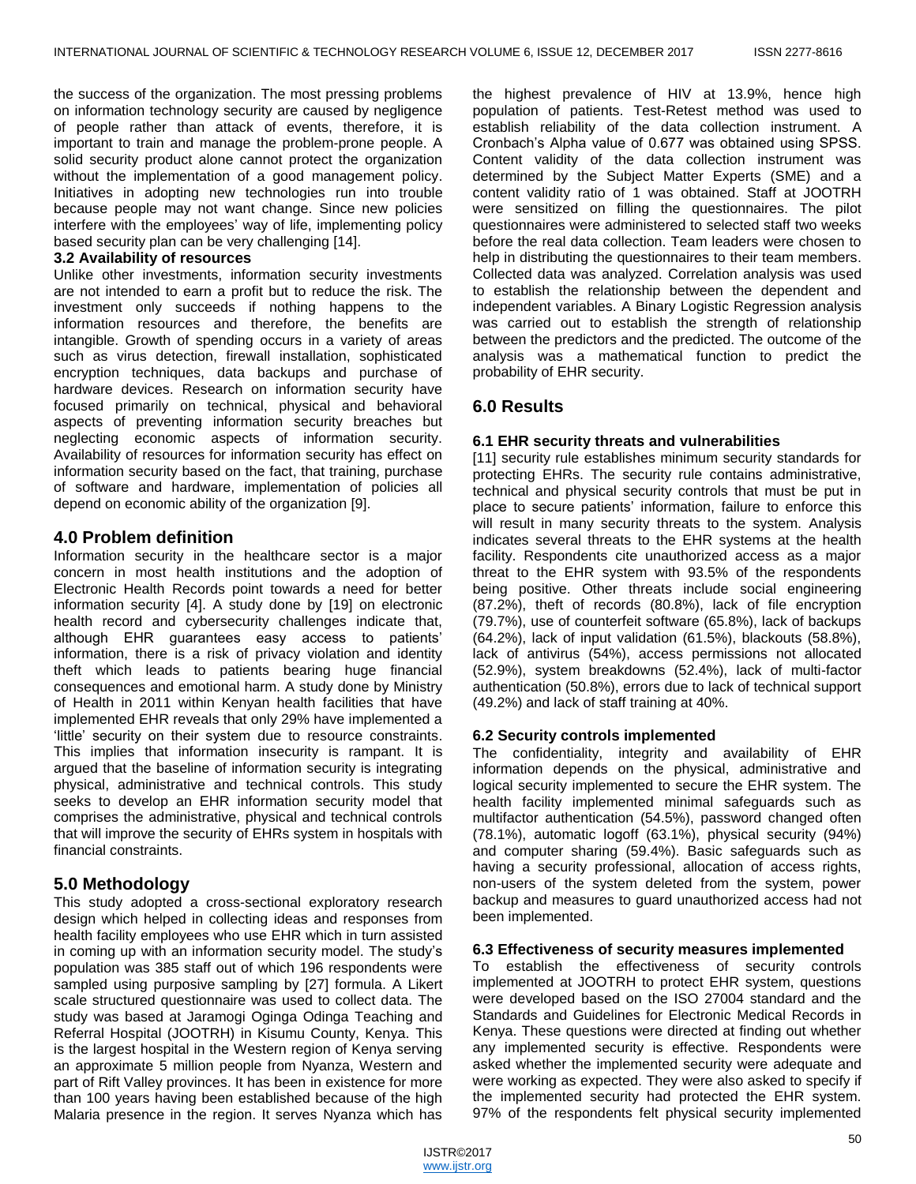the success of the organization. The most pressing problems on information technology security are caused by negligence of people rather than attack of events, therefore, it is important to train and manage the problem-prone people. A solid security product alone cannot protect the organization without the implementation of a good management policy. Initiatives in adopting new technologies run into trouble because people may not want change. Since new policies interfere with the employees' way of life, implementing policy based security plan can be very challenging [14].

## **3.2 Availability of resources**

Unlike other investments, information security investments are not intended to earn a profit but to reduce the risk. The investment only succeeds if nothing happens to the information resources and therefore, the benefits are intangible. Growth of spending occurs in a variety of areas such as virus detection, firewall installation, sophisticated encryption techniques, data backups and purchase of hardware devices. Research on information security have focused primarily on technical, physical and behavioral aspects of preventing information security breaches but neglecting economic aspects of information security. Availability of resources for information security has effect on information security based on the fact, that training, purchase of software and hardware, implementation of policies all depend on economic ability of the organization [9].

## **4.0 Problem definition**

Information security in the healthcare sector is a major concern in most health institutions and the adoption of Electronic Health Records point towards a need for better information security [4]. A study done by [19] on electronic health record and cybersecurity challenges indicate that, although EHR guarantees easy access to patients' information, there is a risk of privacy violation and identity theft which leads to patients bearing huge financial consequences and emotional harm. A study done by Ministry of Health in 2011 within Kenyan health facilities that have implemented EHR reveals that only 29% have implemented a 'little' security on their system due to resource constraints. This implies that information insecurity is rampant. It is argued that the baseline of information security is integrating physical, administrative and technical controls. This study seeks to develop an EHR information security model that comprises the administrative, physical and technical controls that will improve the security of EHRs system in hospitals with financial constraints.

# **5.0 Methodology**

This study adopted a cross-sectional exploratory research design which helped in collecting ideas and responses from health facility employees who use EHR which in turn assisted in coming up with an information security model. The study's population was 385 staff out of which 196 respondents were sampled using purposive sampling by [27] formula. A Likert scale structured questionnaire was used to collect data. The study was based at Jaramogi Oginga Odinga Teaching and Referral Hospital (JOOTRH) in Kisumu County, Kenya. This is the largest hospital in the Western region of Kenya serving an approximate 5 million people from Nyanza, Western and part of Rift Valley provinces. It has been in existence for more than 100 years having been established because of the high Malaria presence in the region. It serves Nyanza which has

the highest prevalence of HIV at 13.9%, hence high population of patients. Test-Retest method was used to establish reliability of the data collection instrument. A Cronbach's Alpha value of 0.677 was obtained using SPSS. Content validity of the data collection instrument was determined by the Subject Matter Experts (SME) and a content validity ratio of 1 was obtained. Staff at JOOTRH were sensitized on filling the questionnaires. The pilot questionnaires were administered to selected staff two weeks before the real data collection. Team leaders were chosen to help in distributing the questionnaires to their team members. Collected data was analyzed. Correlation analysis was used to establish the relationship between the dependent and independent variables. A Binary Logistic Regression analysis was carried out to establish the strength of relationship between the predictors and the predicted. The outcome of the analysis was a mathematical function to predict the probability of EHR security.

# **6.0 Results**

## **6.1 EHR security threats and vulnerabilities**

[11] security rule establishes minimum security standards for protecting EHRs. The security rule contains administrative, technical and physical security controls that must be put in place to secure patients' information, failure to enforce this will result in many security threats to the system. Analysis indicates several threats to the EHR systems at the health facility. Respondents cite unauthorized access as a major threat to the EHR system with 93.5% of the respondents being positive. Other threats include social engineering (87.2%), theft of records (80.8%), lack of file encryption (79.7%), use of counterfeit software (65.8%), lack of backups (64.2%), lack of input validation (61.5%), blackouts (58.8%), lack of antivirus (54%), access permissions not allocated (52.9%), system breakdowns (52.4%), lack of multi-factor authentication (50.8%), errors due to lack of technical support (49.2%) and lack of staff training at 40%.

## **6.2 Security controls implemented**

The confidentiality, integrity and availability of EHR information depends on the physical, administrative and logical security implemented to secure the EHR system. The health facility implemented minimal safeguards such as multifactor authentication (54.5%), password changed often (78.1%), automatic logoff (63.1%), physical security (94%) and computer sharing (59.4%). Basic safeguards such as having a security professional, allocation of access rights, non-users of the system deleted from the system, power backup and measures to guard unauthorized access had not been implemented.

## **6.3 Effectiveness of security measures implemented**

To establish the effectiveness of security controls implemented at JOOTRH to protect EHR system, questions were developed based on the ISO 27004 standard and the Standards and Guidelines for Electronic Medical Records in Kenya. These questions were directed at finding out whether any implemented security is effective. Respondents were asked whether the implemented security were adequate and were working as expected. They were also asked to specify if the implemented security had protected the EHR system. 97% of the respondents felt physical security implemented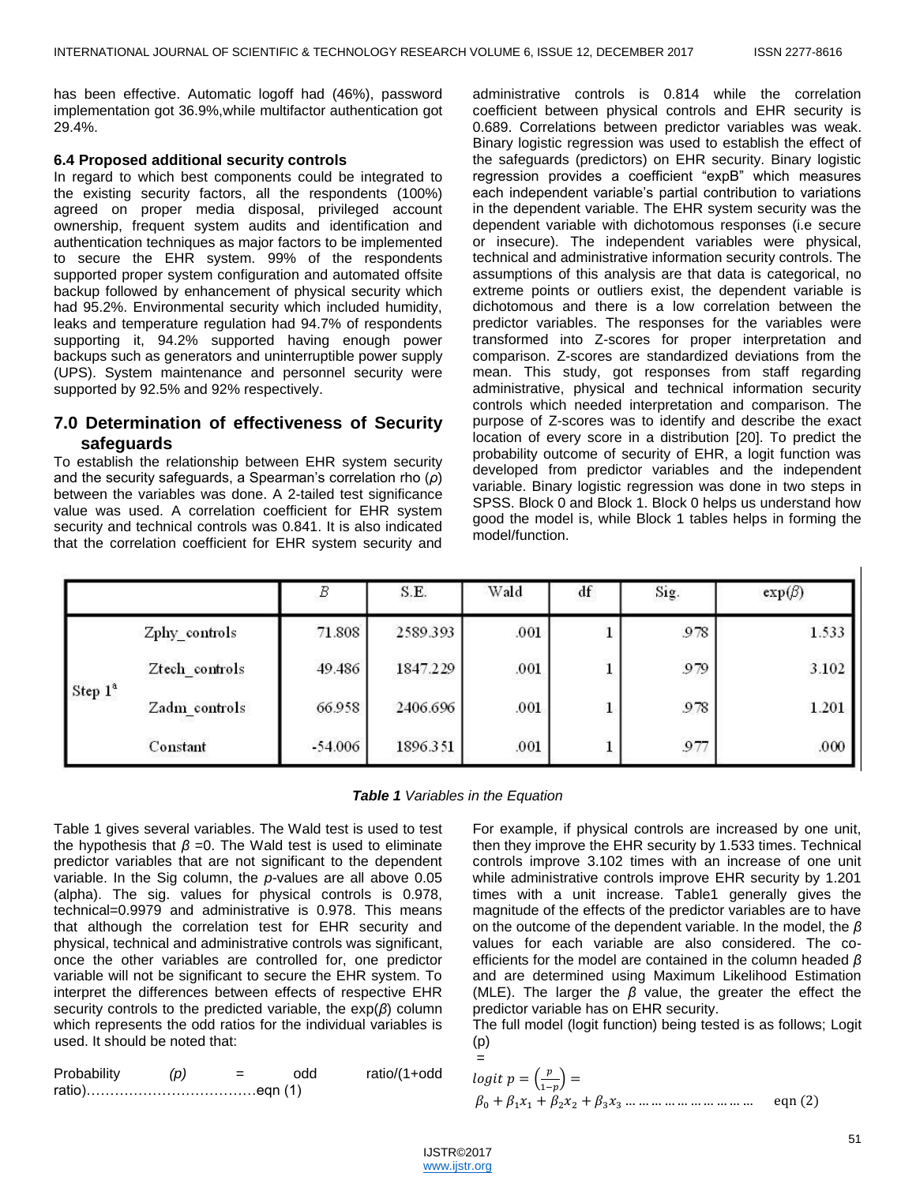has been effective. Automatic logoff had (46%), password implementation got 36.9%,while multifactor authentication got 29.4%.

## **6.4 Proposed additional security controls**

In regard to which best components could be integrated to the existing security factors, all the respondents (100%) agreed on proper media disposal, privileged account ownership, frequent system audits and identification and authentication techniques as major factors to be implemented to secure the EHR system. 99% of the respondents supported proper system configuration and automated offsite backup followed by enhancement of physical security which had 95.2%. Environmental security which included humidity, leaks and temperature regulation had 94.7% of respondents supporting it, 94.2% supported having enough power backups such as generators and uninterruptible power supply (UPS). System maintenance and personnel security were supported by 92.5% and 92% respectively.

# **7.0 Determination of effectiveness of Security safeguards**

To establish the relationship between EHR system security and the security safeguards, a Spearman's correlation rho (*ρ*) between the variables was done. A 2-tailed test significance value was used. A correlation coefficient for EHR system security and technical controls was 0.841. It is also indicated that the correlation coefficient for EHR system security and

administrative controls is 0.814 while the correlation coefficient between physical controls and EHR security is 0.689. Correlations between predictor variables was weak. Binary logistic regression was used to establish the effect of the safeguards (predictors) on EHR security. Binary logistic regression provides a coefficient "expB" which measures each independent variable's partial contribution to variations in the dependent variable. The EHR system security was the dependent variable with dichotomous responses (i.e secure or insecure). The independent variables were physical, technical and administrative information security controls. The assumptions of this analysis are that data is categorical, no extreme points or outliers exist, the dependent variable is dichotomous and there is a low correlation between the predictor variables. The responses for the variables were transformed into Z-scores for proper interpretation and comparison. Z-scores are standardized deviations from the mean. This study, got responses from staff regarding administrative, physical and technical information security controls which needed interpretation and comparison. The purpose of Z-scores was to identify and describe the exact location of every score in a distribution [20]. To predict the probability outcome of security of EHR, a logit function was developed from predictor variables and the independent variable. Binary logistic regression was done in two steps in SPSS. Block 0 and Block 1. Block 0 helps us understand how good the model is, while Block 1 tables helps in forming the model/function.

|            |                | $\boldsymbol{B}$ | S.E.     | Wald | df<br>11232 | Sig. | $exp(\beta)$ |
|------------|----------------|------------------|----------|------|-------------|------|--------------|
| Step $1^a$ | Zphy controls  | 71.808           | 2589.393 | .001 |             | 978  | 1.533        |
|            | Ztech controls | 49.486           | 1847.229 | .001 |             | 979  | 3.102        |
|            | Zadm controls  | 66.958           | 2406.696 | .001 | щ           | 978  | 1.201        |
|            | Constant       | $-54.006$        | 1896.351 | .001 |             | 977  | .000         |

| <b>Table 1</b> Variables in the Equation |
|------------------------------------------|
|------------------------------------------|

Table 1 gives several variables. The Wald test is used to test the hypothesis that  $β = 0$ . The Wald test is used to eliminate predictor variables that are not significant to the dependent variable. In the Sig column, the *p*-values are all above 0.05 (alpha). The sig. values for physical controls is 0.978, technical=0.9979 and administrative is 0.978. This means that although the correlation test for EHR security and physical, technical and administrative controls was significant, once the other variables are controlled for, one predictor variable will not be significant to secure the EHR system. To interpret the differences between effects of respective EHR security controls to the predicted variable, the exp(*β*) column which represents the odd ratios for the individual variables is used. It should be noted that:

| Probability | (p) | $=$ | odd | ratio/(1+odd |
|-------------|-----|-----|-----|--------------|
|             |     |     |     |              |

For example, if physical controls are increased by one unit, then they improve the EHR security by 1.533 times. Technical controls improve 3.102 times with an increase of one unit while administrative controls improve EHR security by 1.201 times with a unit increase. Table1 generally gives the magnitude of the effects of the predictor variables are to have on the outcome of the dependent variable. In the model, the *β* values for each variable are also considered. The coefficients for the model are contained in the column headed *β* and are determined using Maximum Likelihood Estimation (MLE). The larger the *β* value, the greater the effect the predictor variable has on EHR security.

The full model (logit function) being tested is as follows; Logit (p)

 ( ) 

=

 $\overline{1}$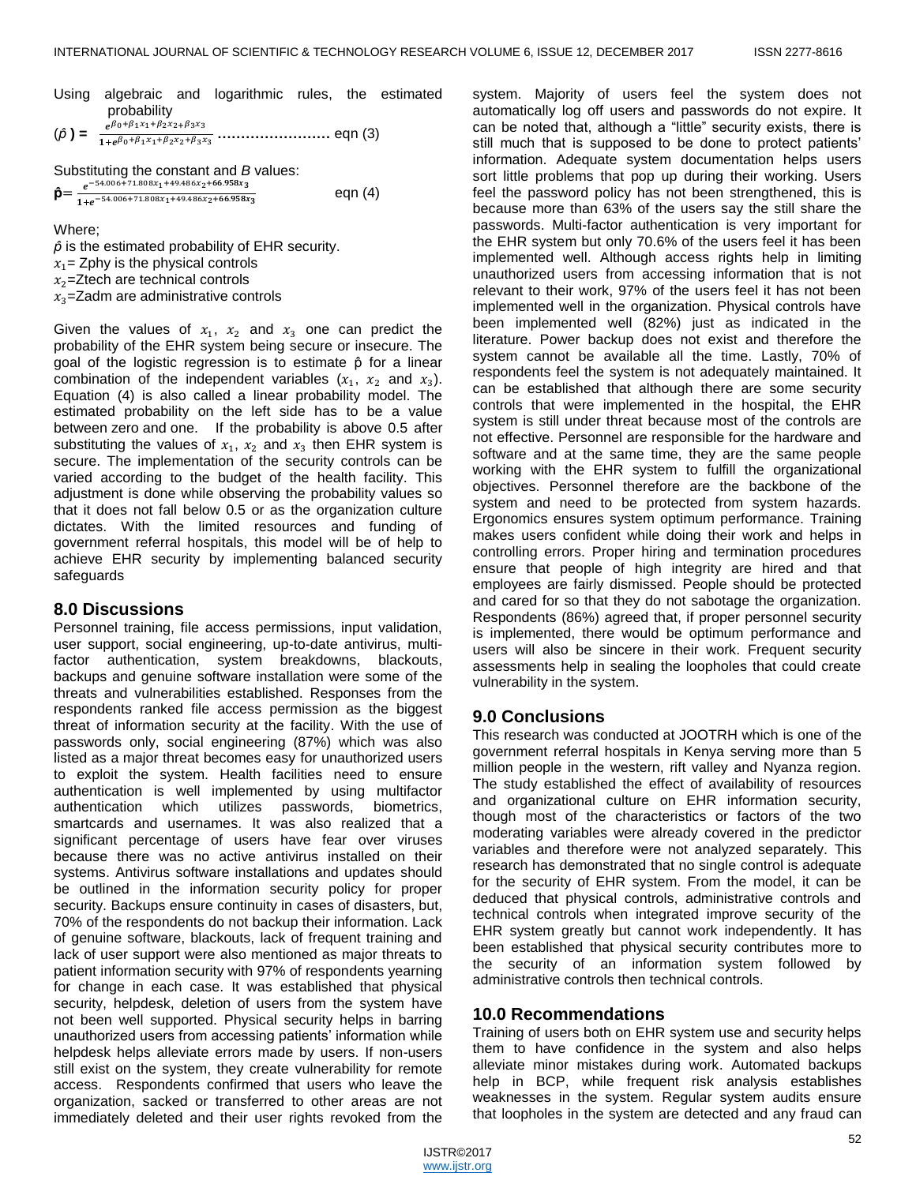- Using algebraic and logarithmic rules, the estimated probability
- (**) = ……………………** eqn (3)

Substituting the constant and *B* values:

 $\hat{\mathbf{p}} = \frac{e^{-\mathbf{p}}}{2}$  $1 + e^$ eqn (4)

Where;

 $\hat{\rho}$  is the estimated probability of EHR security.  $x_1$  = Zphy is the physical controls  $x_2$ =Ztech are technical controls  $x_3$ =Zadm are administrative controls

Given the values of  $x_1$ ,  $x_2$  and  $x_3$  one can predict the probability of the EHR system being secure or insecure. The goal of the logistic regression is to estimate  $\hat{p}$  for a linear combination of the independent variables  $(x_1, x_2, x_3)$ . Equation (4) is also called a linear probability model. The estimated probability on the left side has to be a value between zero and one. If the probability is above 0.5 after substituting the values of  $x_1$ ,  $x_2$  and  $x_3$  then EHR system is secure. The implementation of the security controls can be varied according to the budget of the health facility. This adjustment is done while observing the probability values so that it does not fall below 0.5 or as the organization culture dictates. With the limited resources and funding of government referral hospitals, this model will be of help to achieve EHR security by implementing balanced security safeguards

## **8.0 Discussions**

Personnel training, file access permissions, input validation, user support, social engineering, up-to-date antivirus, multifactor authentication, system breakdowns, blackouts, backups and genuine software installation were some of the threats and vulnerabilities established. Responses from the respondents ranked file access permission as the biggest threat of information security at the facility. With the use of passwords only, social engineering (87%) which was also listed as a major threat becomes easy for unauthorized users to exploit the system. Health facilities need to ensure authentication is well implemented by using multifactor authentication which utilizes passwords, biometrics, smartcards and usernames. It was also realized that a significant percentage of users have fear over viruses because there was no active antivirus installed on their systems. Antivirus software installations and updates should be outlined in the information security policy for proper security. Backups ensure continuity in cases of disasters, but, 70% of the respondents do not backup their information. Lack of genuine software, blackouts, lack of frequent training and lack of user support were also mentioned as major threats to patient information security with 97% of respondents yearning for change in each case. It was established that physical security, helpdesk, deletion of users from the system have not been well supported. Physical security helps in barring unauthorized users from accessing patients' information while helpdesk helps alleviate errors made by users. If non-users still exist on the system, they create vulnerability for remote access. Respondents confirmed that users who leave the organization, sacked or transferred to other areas are not immediately deleted and their user rights revoked from the

system. Majority of users feel the system does not automatically log off users and passwords do not expire. It can be noted that, although a "little" security exists, there is still much that is supposed to be done to protect patients' information. Adequate system documentation helps users sort little problems that pop up during their working. Users feel the password policy has not been strengthened, this is because more than 63% of the users say the still share the passwords. Multi-factor authentication is very important for the EHR system but only 70.6% of the users feel it has been implemented well. Although access rights help in limiting unauthorized users from accessing information that is not relevant to their work, 97% of the users feel it has not been implemented well in the organization. Physical controls have been implemented well (82%) just as indicated in the literature. Power backup does not exist and therefore the system cannot be available all the time. Lastly, 70% of respondents feel the system is not adequately maintained. It can be established that although there are some security controls that were implemented in the hospital, the EHR system is still under threat because most of the controls are not effective. Personnel are responsible for the hardware and software and at the same time, they are the same people working with the EHR system to fulfill the organizational objectives. Personnel therefore are the backbone of the system and need to be protected from system hazards. Ergonomics ensures system optimum performance. Training makes users confident while doing their work and helps in controlling errors. Proper hiring and termination procedures ensure that people of high integrity are hired and that employees are fairly dismissed. People should be protected and cared for so that they do not sabotage the organization. Respondents (86%) agreed that, if proper personnel security is implemented, there would be optimum performance and users will also be sincere in their work. Frequent security assessments help in sealing the loopholes that could create vulnerability in the system.

# **9.0 Conclusions**

This research was conducted at JOOTRH which is one of the government referral hospitals in Kenya serving more than 5 million people in the western, rift valley and Nyanza region. The study established the effect of availability of resources and organizational culture on EHR information security, though most of the characteristics or factors of the two moderating variables were already covered in the predictor variables and therefore were not analyzed separately. This research has demonstrated that no single control is adequate for the security of EHR system. From the model, it can be deduced that physical controls, administrative controls and technical controls when integrated improve security of the EHR system greatly but cannot work independently. It has been established that physical security contributes more to the security of an information system followed by administrative controls then technical controls.

## **10.0 Recommendations**

Training of users both on EHR system use and security helps them to have confidence in the system and also helps alleviate minor mistakes during work. Automated backups help in BCP, while frequent risk analysis establishes weaknesses in the system. Regular system audits ensure that loopholes in the system are detected and any fraud can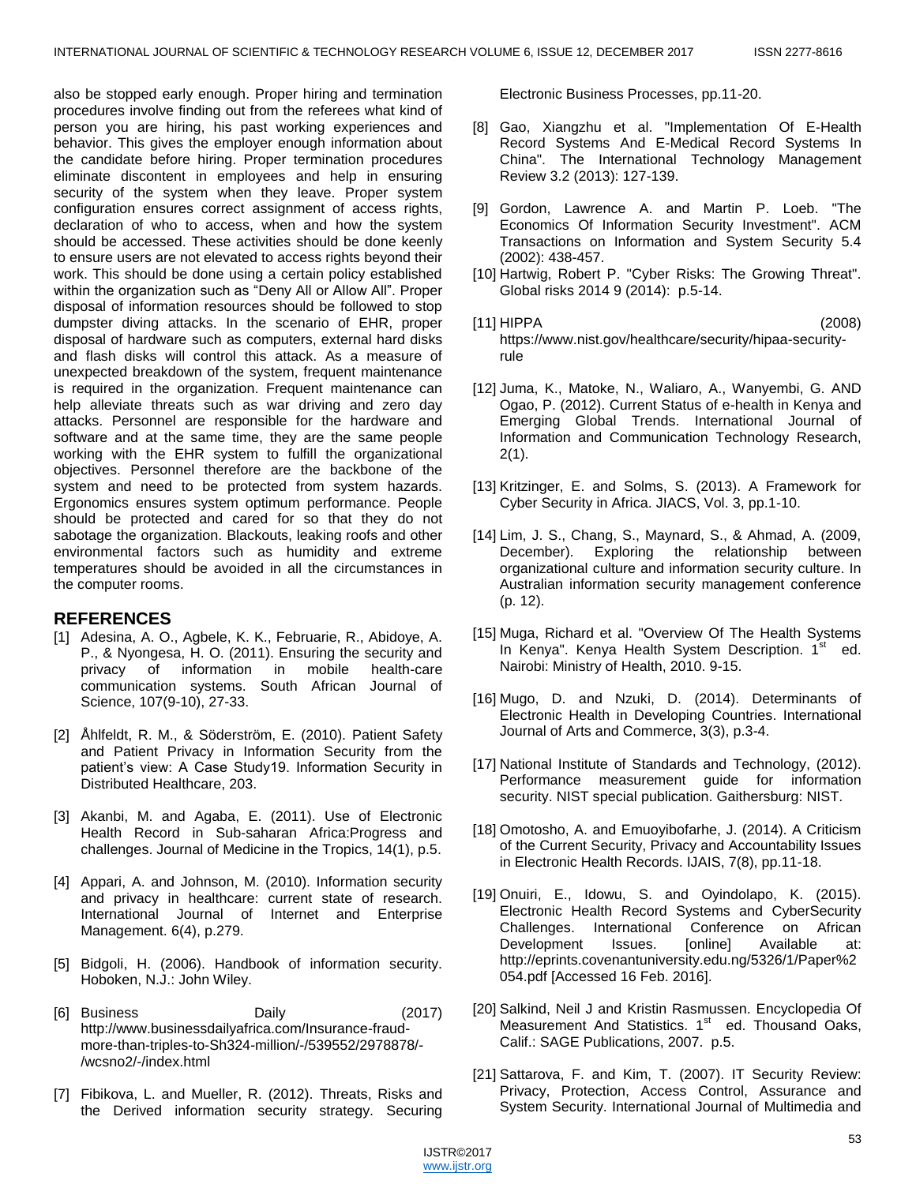also be stopped early enough. Proper hiring and termination procedures involve finding out from the referees what kind of person you are hiring, his past working experiences and behavior. This gives the employer enough information about the candidate before hiring. Proper termination procedures eliminate discontent in employees and help in ensuring security of the system when they leave. Proper system configuration ensures correct assignment of access rights, declaration of who to access, when and how the system should be accessed. These activities should be done keenly to ensure users are not elevated to access rights beyond their work. This should be done using a certain policy established within the organization such as "Deny All or Allow All". Proper disposal of information resources should be followed to stop dumpster diving attacks. In the scenario of EHR, proper disposal of hardware such as computers, external hard disks and flash disks will control this attack. As a measure of unexpected breakdown of the system, frequent maintenance is required in the organization. Frequent maintenance can help alleviate threats such as war driving and zero day attacks. Personnel are responsible for the hardware and software and at the same time, they are the same people working with the EHR system to fulfill the organizational objectives. Personnel therefore are the backbone of the system and need to be protected from system hazards. Ergonomics ensures system optimum performance. People should be protected and cared for so that they do not sabotage the organization. Blackouts, leaking roofs and other environmental factors such as humidity and extreme temperatures should be avoided in all the circumstances in the computer rooms.

## **REFERENCES**

- [1] Adesina, A. O., Agbele, K. K., Februarie, R., Abidoye, A. P., & Nyongesa, H. O. (2011). Ensuring the security and privacy of information in mobile health-care communication systems. South African Journal of Science, 107(9-10), 27-33.
- [2] Åhlfeldt, R. M., & Söderström, E. (2010). Patient Safety and Patient Privacy in Information Security from the patient's view: A Case Study19. Information Security in Distributed Healthcare, 203.
- [3] Akanbi, M. and Agaba, E. (2011). Use of Electronic Health Record in Sub-saharan Africa:Progress and challenges. Journal of Medicine in the Tropics, 14(1), p.5.
- [4] Appari, A. and Johnson, M. (2010). Information security and privacy in healthcare: current state of research. International Journal of Internet and Enterprise Management. 6(4), p.279.
- [5] Bidgoli, H. (2006). Handbook of information security. Hoboken, N.J.: John Wiley.
- [6] Business Daily (2017) http://www.businessdailyafrica.com/Insurance-fraudmore-than-triples-to-Sh324-million/-/539552/2978878/- /wcsno2/-/index.html
- [7] Fibikova, L. and Mueller, R. (2012). Threats, Risks and the Derived information security strategy. Securing

Electronic Business Processes, pp.11-20.

- [8] Gao, Xiangzhu et al. "Implementation Of E-Health Record Systems And E-Medical Record Systems In China". The International Technology Management Review 3.2 (2013): 127-139.
- [9] Gordon, Lawrence A. and Martin P. Loeb. "The Economics Of Information Security Investment". ACM Transactions on Information and System Security 5.4 (2002): 438-457.
- [10] Hartwig, Robert P. "Cyber Risks: The Growing Threat". Global risks 2014 9 (2014): p.5-14.
- [11] HIPPA (2008) https://www.nist.gov/healthcare/security/hipaa-securityrule
- [12] Juma, K., Matoke, N., Waliaro, A., Wanyembi, G. AND Ogao, P. (2012). Current Status of e-health in Kenya and Emerging Global Trends. International Journal of Information and Communication Technology Research, 2(1).
- [13] Kritzinger, E. and Solms, S. (2013). A Framework for Cyber Security in Africa. JIACS, Vol. 3, pp.1-10.
- [14] Lim, J. S., Chang, S., Maynard, S., & Ahmad, A. (2009, December). Exploring the relationship between organizational culture and information security culture. In Australian information security management conference (p. 12).
- [15] Muga, Richard et al. "Overview Of The Health Systems In Kenya". Kenya Health System Description. 1<sup>st</sup> ed. Nairobi: Ministry of Health, 2010. 9-15.
- [16] Mugo, D. and Nzuki, D. (2014). Determinants of Electronic Health in Developing Countries. International Journal of Arts and Commerce, 3(3), p.3-4.
- [17] National Institute of Standards and Technology, (2012). Performance measurement guide for information security. NIST special publication. Gaithersburg: NIST.
- [18] Omotosho, A. and Emuoyibofarhe, J. (2014). A Criticism of the Current Security, Privacy and Accountability Issues in Electronic Health Records. IJAIS, 7(8), pp.11-18.
- [19] Onuiri, E., Idowu, S. and Oyindolapo, K. (2015). Electronic Health Record Systems and CyberSecurity Challenges. International Conference on African Development Issues. [online] Available at: http://eprints.covenantuniversity.edu.ng/5326/1/Paper%2 054.pdf [Accessed 16 Feb. 2016].
- [20] Salkind, Neil J and Kristin Rasmussen. Encyclopedia Of Measurement And Statistics. 1<sup>st</sup> ed. Thousand Oaks, Calif.: SAGE Publications, 2007. p.5.
- [21] Sattarova, F. and Kim, T. (2007). IT Security Review: Privacy, Protection, Access Control, Assurance and System Security. International Journal of Multimedia and